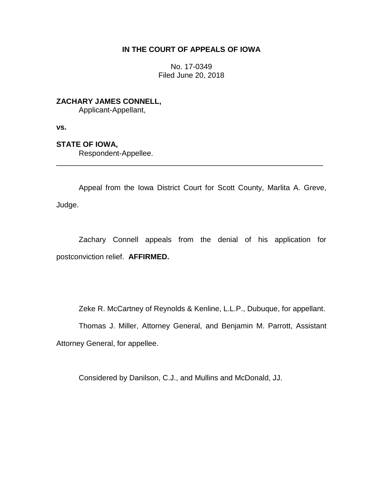## **IN THE COURT OF APPEALS OF IOWA**

No. 17-0349 Filed June 20, 2018

**ZACHARY JAMES CONNELL,** Applicant-Appellant,

**vs.**

**STATE OF IOWA,**

Respondent-Appellee.

Appeal from the Iowa District Court for Scott County, Marlita A. Greve, Judge.

\_\_\_\_\_\_\_\_\_\_\_\_\_\_\_\_\_\_\_\_\_\_\_\_\_\_\_\_\_\_\_\_\_\_\_\_\_\_\_\_\_\_\_\_\_\_\_\_\_\_\_\_\_\_\_\_\_\_\_\_\_\_\_\_

Zachary Connell appeals from the denial of his application for postconviction relief. **AFFIRMED.**

Zeke R. McCartney of Reynolds & Kenline, L.L.P., Dubuque, for appellant.

Thomas J. Miller, Attorney General, and Benjamin M. Parrott, Assistant Attorney General, for appellee.

Considered by Danilson, C.J., and Mullins and McDonald, JJ.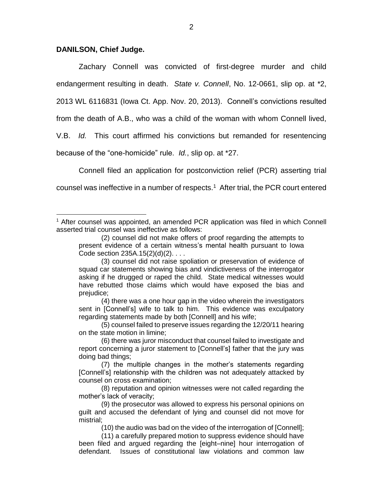## **DANILSON, Chief Judge.**

 $\overline{a}$ 

Zachary Connell was convicted of first-degree murder and child endangerment resulting in death. *State v. Connell*, No. 12-0661, slip op. at \*2, 2013 WL 6116831 (Iowa Ct. App. Nov. 20, 2013). Connell's convictions resulted from the death of A.B., who was a child of the woman with whom Connell lived,

V.B. *Id.* This court affirmed his convictions but remanded for resentencing

because of the "one-homicide" rule. *Id.*, slip op. at \*27.

Connell filed an application for postconviction relief (PCR) asserting trial counsel was ineffective in a number of respects.<sup>1</sup> After trial, the PCR court entered

<sup>&</sup>lt;sup>1</sup> After counsel was appointed, an amended PCR application was filed in which Connell asserted trial counsel was ineffective as follows:

<sup>(2)</sup> counsel did not make offers of proof regarding the attempts to present evidence of a certain witness's mental health pursuant to Iowa Code section 235A.15(2)(d)(2). . . .

<sup>(3)</sup> counsel did not raise spoliation or preservation of evidence of squad car statements showing bias and vindictiveness of the interrogator asking if he drugged or raped the child. State medical witnesses would have rebutted those claims which would have exposed the bias and prejudice;

<sup>(4)</sup> there was a one hour gap in the video wherein the investigators sent in [Connell's] wife to talk to him. This evidence was exculpatory regarding statements made by both [Connell] and his wife;

<sup>(5)</sup> counsel failed to preserve issues regarding the 12/20/11 hearing on the state motion in limine;

<sup>(6)</sup> there was juror misconduct that counsel failed to investigate and report concerning a juror statement to [Connell's] father that the jury was doing bad things;

<sup>(7)</sup> the multiple changes in the mother's statements regarding [Connell's] relationship with the children was not adequately attacked by counsel on cross examination;

<sup>(8)</sup> reputation and opinion witnesses were not called regarding the mother's lack of veracity;

<sup>(9)</sup> the prosecutor was allowed to express his personal opinions on guilt and accused the defendant of lying and counsel did not move for mistrial;

<sup>(10)</sup> the audio was bad on the video of the interrogation of [Connell];

<sup>(11)</sup> a carefully prepared motion to suppress evidence should have been filed and argued regarding the [eight–nine] hour interrogation of defendant. Issues of constitutional law violations and common law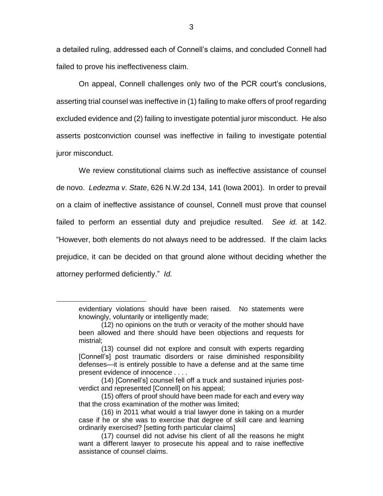a detailed ruling, addressed each of Connell's claims, and concluded Connell had failed to prove his ineffectiveness claim.

On appeal, Connell challenges only two of the PCR court's conclusions, asserting trial counsel was ineffective in (1) failing to make offers of proof regarding excluded evidence and (2) failing to investigate potential juror misconduct. He also asserts postconviction counsel was ineffective in failing to investigate potential juror misconduct.

We review constitutional claims such as ineffective assistance of counsel de novo. *Ledezma v. State*, 626 N.W.2d 134, 141 (Iowa 2001). In order to prevail on a claim of ineffective assistance of counsel, Connell must prove that counsel failed to perform an essential duty and prejudice resulted. *See id.* at 142. "However, both elements do not always need to be addressed. If the claim lacks prejudice, it can be decided on that ground alone without deciding whether the attorney performed deficiently." *Id.* 

 $\overline{a}$ 

evidentiary violations should have been raised. No statements were knowingly, voluntarily or intelligently made;

<sup>(12)</sup> no opinions on the truth or veracity of the mother should have been allowed and there should have been objections and requests for mistrial;

<sup>(13)</sup> counsel did not explore and consult with experts regarding [Connell's] post traumatic disorders or raise diminished responsibility defenses—it is entirely possible to have a defense and at the same time present evidence of innocence . . . .

<sup>(14)</sup> [Connell's] counsel fell off a truck and sustained injuries postverdict and represented [Connell] on his appeal;

<sup>(15)</sup> offers of proof should have been made for each and every way that the cross examination of the mother was limited;

<sup>(16)</sup> in 2011 what would a trial lawyer done in taking on a murder case if he or she was to exercise that degree of skill care and learning ordinarily exercised? [setting forth particular claims]

<sup>(17)</sup> counsel did not advise his client of all the reasons he might want a different lawyer to prosecute his appeal and to raise ineffective assistance of counsel claims.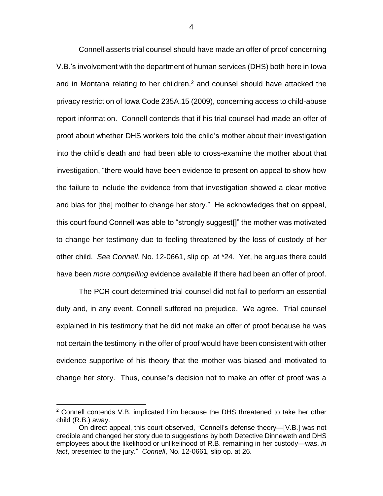Connell asserts trial counsel should have made an offer of proof concerning V.B.'s involvement with the department of human services (DHS) both here in Iowa and in Montana relating to her children,<sup>2</sup> and counsel should have attacked the privacy restriction of Iowa Code 235A.15 (2009), concerning access to child-abuse report information. Connell contends that if his trial counsel had made an offer of proof about whether DHS workers told the child's mother about their investigation into the child's death and had been able to cross-examine the mother about that investigation, "there would have been evidence to present on appeal to show how the failure to include the evidence from that investigation showed a clear motive and bias for [the] mother to change her story." He acknowledges that on appeal, this court found Connell was able to "strongly suggest[]" the mother was motivated to change her testimony due to feeling threatened by the loss of custody of her other child. *See Connell*, No. 12-0661, slip op. at \*24. Yet, he argues there could have been *more compelling* evidence available if there had been an offer of proof.

The PCR court determined trial counsel did not fail to perform an essential duty and, in any event, Connell suffered no prejudice. We agree. Trial counsel explained in his testimony that he did not make an offer of proof because he was not certain the testimony in the offer of proof would have been consistent with other evidence supportive of his theory that the mother was biased and motivated to change her story. Thus, counsel's decision not to make an offer of proof was a

 $\overline{a}$ 

 $2$  Connell contends V.B. implicated him because the DHS threatened to take her other child (R.B.) away.

On direct appeal, this court observed, "Connell's defense theory—[V.B.] was not credible and changed her story due to suggestions by both Detective Dinneweth and DHS employees about the likelihood or unlikelihood of R.B. remaining in her custody—was, *in fact*, presented to the jury." *Connell*, No. 12-0661, slip op. at 26.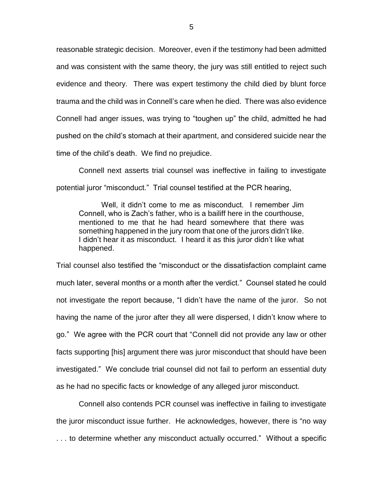reasonable strategic decision. Moreover, even if the testimony had been admitted and was consistent with the same theory, the jury was still entitled to reject such evidence and theory. There was expert testimony the child died by blunt force trauma and the child was in Connell's care when he died. There was also evidence Connell had anger issues, was trying to "toughen up" the child, admitted he had pushed on the child's stomach at their apartment, and considered suicide near the time of the child's death. We find no prejudice.

Connell next asserts trial counsel was ineffective in failing to investigate potential juror "misconduct." Trial counsel testified at the PCR hearing,

Well, it didn't come to me as misconduct. I remember Jim Connell, who is Zach's father, who is a bailiff here in the courthouse, mentioned to me that he had heard somewhere that there was something happened in the jury room that one of the jurors didn't like. I didn't hear it as misconduct. I heard it as this juror didn't like what happened.

Trial counsel also testified the "misconduct or the dissatisfaction complaint came much later, several months or a month after the verdict." Counsel stated he could not investigate the report because, "I didn't have the name of the juror. So not having the name of the juror after they all were dispersed, I didn't know where to go." We agree with the PCR court that "Connell did not provide any law or other facts supporting [his] argument there was juror misconduct that should have been investigated." We conclude trial counsel did not fail to perform an essential duty as he had no specific facts or knowledge of any alleged juror misconduct.

Connell also contends PCR counsel was ineffective in failing to investigate the juror misconduct issue further. He acknowledges, however, there is "no way . . . to determine whether any misconduct actually occurred." Without a specific